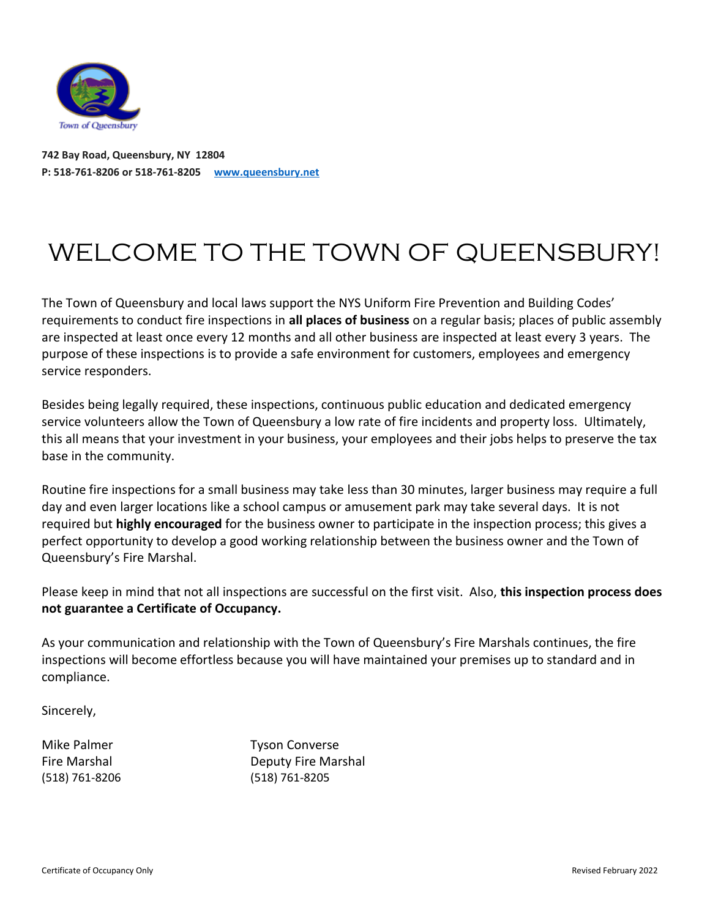

**742 Bay Road, Queensbury, NY 12804 P: 518-761-8206 or 518-761-8205 www.queensbury.net**

## WELCOME TO THE TOWN OF QUEENSBURY!

The Town of Queensbury and local laws support the NYS Uniform Fire Prevention and Building Codes' requirements to conduct fire inspections in **all places of business** on a regular basis; places of public assembly are inspected at least once every 12 months and all other business are inspected at least every 3 years. The purpose of these inspections is to provide a safe environment for customers, employees and emergency service responders.

Besides being legally required, these inspections, continuous public education and dedicated emergency service volunteers allow the Town of Queensbury a low rate of fire incidents and property loss. Ultimately, this all means that your investment in your business, your employees and their jobs helps to preserve the tax base in the community.

Routine fire inspections for a small business may take less than 30 minutes, larger business may require a full day and even larger locations like a school campus or amusement park may take several days. It is not required but **highly encouraged** for the business owner to participate in the inspection process; this gives a perfect opportunity to develop a good working relationship between the business owner and the Town of Queensbury's Fire Marshal.

Please keep in mind that not all inspections are successful on the first visit. Also, **this inspection process does not guarantee a Certificate of Occupancy.**

As your communication and relationship with the Town of Queensbury's Fire Marshals continues, the fire inspections will become effortless because you will have maintained your premises up to standard and in compliance.

Sincerely,

Mike Palmer Tyson Converse (518) 761-8206 (518) 761-8205

Fire Marshal **Example 20** Deputy Fire Marshal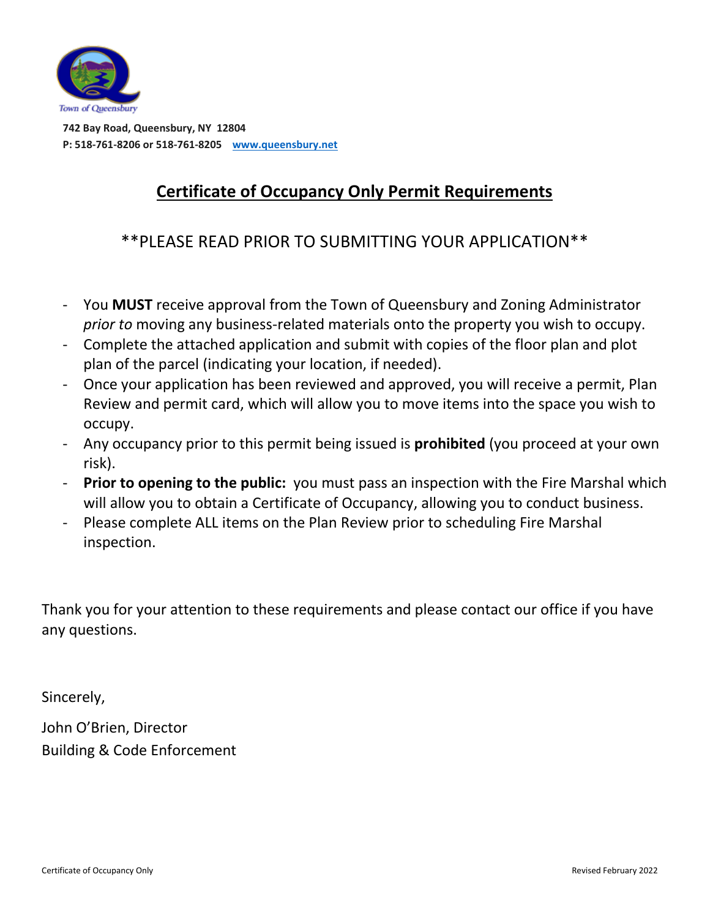

 **742 Bay Road, Queensbury, NY 12804 P: 518-761-8206 or 518-761-8205 www.queensbury.net**

## **Certificate of Occupancy Only Permit Requirements**

\*\*PLEASE READ PRIOR TO SUBMITTING YOUR APPLICATION\*\*

- You **MUST** receive approval from the Town of Queensbury and Zoning Administrator *prior to* moving any business-related materials onto the property you wish to occupy.
- Complete the attached application and submit with copies of the floor plan and plot plan of the parcel (indicating your location, if needed).
- Once your application has been reviewed and approved, you will receive a permit, Plan Review and permit card, which will allow you to move items into the space you wish to occupy.
- Any occupancy prior to this permit being issued is **prohibited** (you proceed at your own risk).
- **Prior to opening to the public:** you must pass an inspection with the Fire Marshal which will allow you to obtain a Certificate of Occupancy, allowing you to conduct business.
- Please complete ALL items on the Plan Review prior to scheduling Fire Marshal inspection.

Thank you for your attention to these requirements and please contact our office if you have any questions.

Sincerely,

John O'Brien, Director Building & Code Enforcement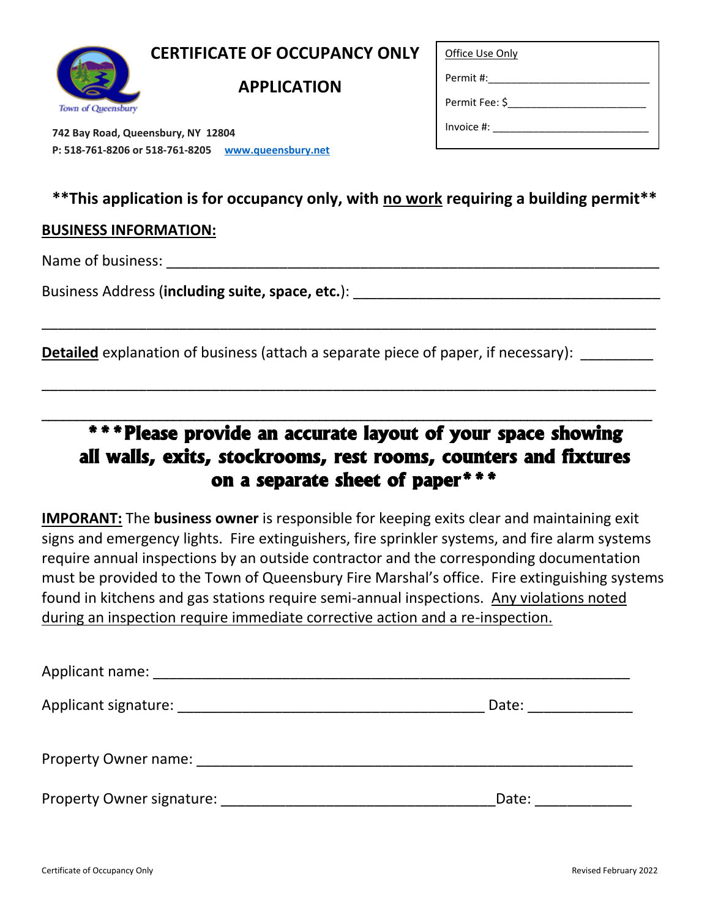## **CERTIFICATE OF OCCUPANCY ONLY**



**APPLICATION**

Office Use Only

Permit #:

Permit Fee: \$\_\_\_\_\_\_\_\_\_\_\_\_\_\_\_\_\_\_\_\_\_\_\_\_

Invoice  $\#$ :

 **742 Bay Road, Queensbury, NY 12804 P: 518-761-8206 or 518-761-8205 www.queensbury.net**

### **\*\*This application is for occupancy only, with no work requiring a building permit\*\***

\_\_\_\_\_\_\_\_\_\_\_\_\_\_\_\_\_\_\_\_\_\_\_\_\_\_\_\_\_\_\_\_\_\_\_\_\_\_\_\_\_\_\_\_\_\_\_\_\_\_\_\_\_\_\_\_\_\_\_\_\_\_\_\_\_\_\_\_\_\_\_\_\_\_\_\_

\_\_\_\_\_\_\_\_\_\_\_\_\_\_\_\_\_\_\_\_\_\_\_\_\_\_\_\_\_\_\_\_\_\_\_\_\_\_\_\_\_\_\_\_\_\_\_\_\_\_\_\_\_\_\_\_\_\_\_\_\_\_\_\_\_\_\_\_\_\_\_\_\_\_\_\_

 $\mathcal{L}_\mathcal{L} = \{ \mathcal{L}_\mathcal{L} = \{ \mathcal{L}_\mathcal{L} = \{ \mathcal{L}_\mathcal{L} = \{ \mathcal{L}_\mathcal{L} = \{ \mathcal{L}_\mathcal{L} = \{ \mathcal{L}_\mathcal{L} = \{ \mathcal{L}_\mathcal{L} = \{ \mathcal{L}_\mathcal{L} = \{ \mathcal{L}_\mathcal{L} = \{ \mathcal{L}_\mathcal{L} = \{ \mathcal{L}_\mathcal{L} = \{ \mathcal{L}_\mathcal{L} = \{ \mathcal{L}_\mathcal{L} = \{ \mathcal{L}_\mathcal{$ 

#### **BUSINESS INFORMATION:**

Name of business: \_\_\_\_\_\_\_\_\_\_\_\_\_\_\_\_\_\_\_\_\_\_\_\_\_\_\_\_\_\_\_\_\_\_\_\_\_\_\_\_\_\_\_\_\_\_\_\_\_\_\_\_\_\_\_\_\_\_\_\_\_

Business Address (including suite, space, etc.): \_\_\_\_\_\_\_\_\_\_\_\_\_\_\_\_\_\_\_\_\_\_\_\_\_\_\_\_\_\_\_

**Detailed** explanation of business (attach a separate piece of paper, if necessary):

## **\*\*\*Please provide an accurate layout of your space showing all walls, exits, stockrooms, rest rooms, counters and fixtures on a separate sheet of paper\*\*\***

**IMPORANT:** The **business owner** is responsible for keeping exits clear and maintaining exit signs and emergency lights. Fire extinguishers, fire sprinkler systems, and fire alarm systems require annual inspections by an outside contractor and the corresponding documentation must be provided to the Town of Queensbury Fire Marshal's office. Fire extinguishing systems found in kitchens and gas stations require semi-annual inspections. Any violations noted during an inspection require immediate corrective action and a re-inspection.

| Applicant name:           |       |
|---------------------------|-------|
| Applicant signature:      | Date: |
| Property Owner name:      |       |
| Property Owner signature: | Date: |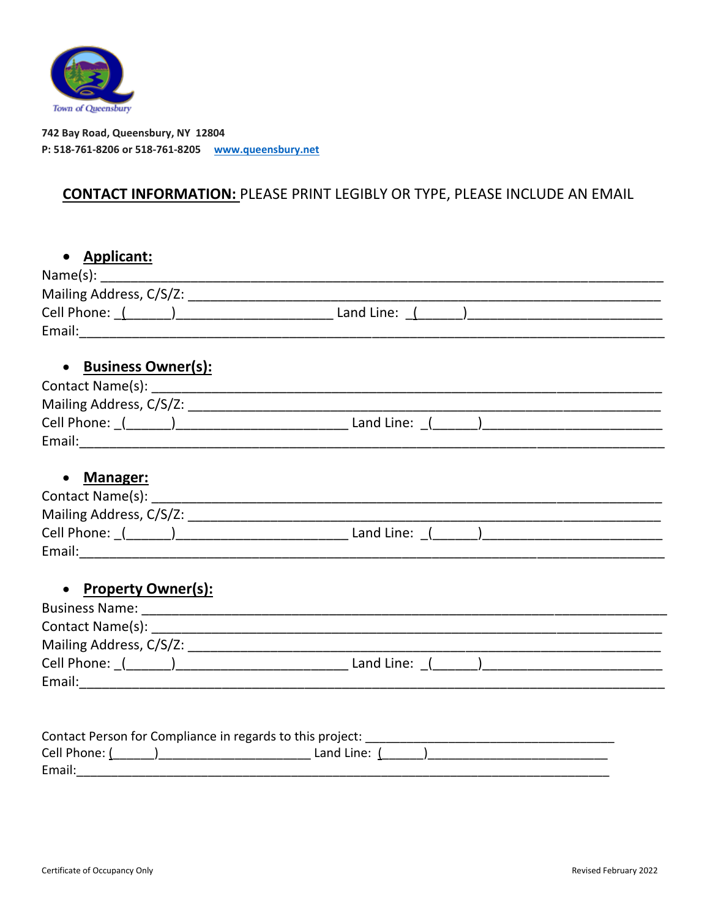

742 Bay Road, Queensbury, NY 12804 P: 518-761-8206 or 518-761-8205 www.queensbury.net

## **CONTACT INFORMATION: PLEASE PRINT LEGIBLY OR TYPE, PLEASE INCLUDE AN EMAIL**

| • Applicant:         |                                                                                                                   |
|----------------------|-------------------------------------------------------------------------------------------------------------------|
|                      |                                                                                                                   |
|                      |                                                                                                                   |
|                      |                                                                                                                   |
|                      |                                                                                                                   |
|                      |                                                                                                                   |
| • Business Owner(s): |                                                                                                                   |
|                      |                                                                                                                   |
|                      |                                                                                                                   |
|                      |                                                                                                                   |
|                      |                                                                                                                   |
|                      |                                                                                                                   |
| • Manager:           |                                                                                                                   |
|                      |                                                                                                                   |
|                      |                                                                                                                   |
|                      | Cell Phone: ((1, 2) 2020 [2010] Land Line: (2, 2020) 2020 [2010] Cell Phone: 2(2020) 2020 [2010] 2020 [2010] 2020 |
|                      |                                                                                                                   |
| • Property Owner(s): |                                                                                                                   |
|                      |                                                                                                                   |
|                      |                                                                                                                   |
|                      |                                                                                                                   |
|                      |                                                                                                                   |
|                      |                                                                                                                   |
|                      |                                                                                                                   |
|                      |                                                                                                                   |
|                      |                                                                                                                   |
| Email:               |                                                                                                                   |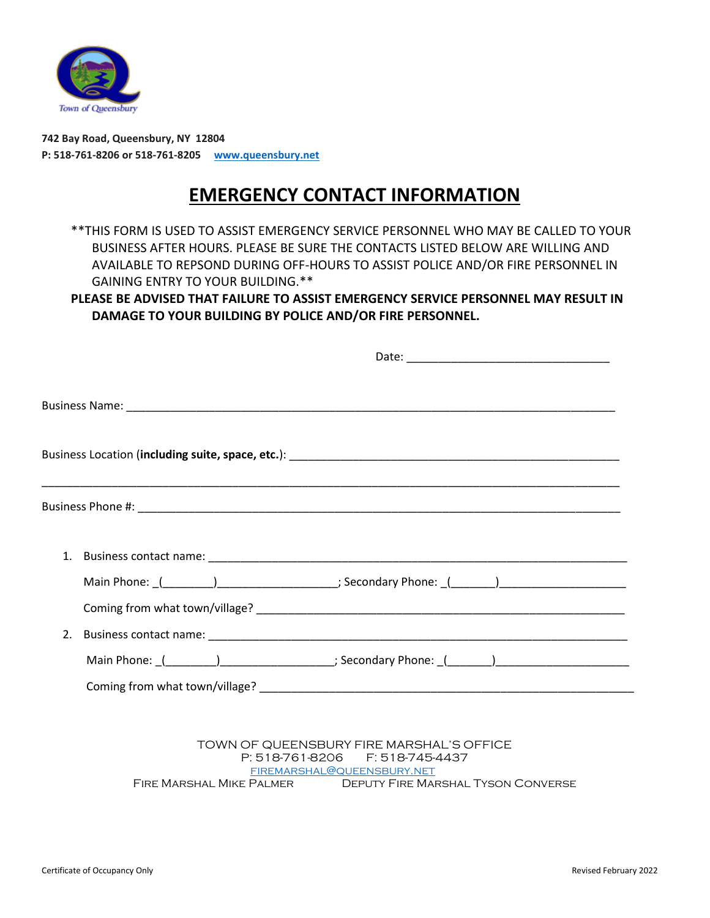

**742 Bay Road, Queensbury, NY 12804 P: 518-761-8206 or 518-761-8205 www.queensbury.net**

## **EMERGENCY CONTACT INFORMATION**

\*\*THIS FORM IS USED TO ASSIST EMERGENCY SERVICE PERSONNEL WHO MAY BE CALLED TO YOUR BUSINESS AFTER HOURS. PLEASE BE SURE THE CONTACTS LISTED BELOW ARE WILLING AND AVAILABLE TO REPSOND DURING OFF-HOURS TO ASSIST POLICE AND/OR FIRE PERSONNEL IN GAINING ENTRY TO YOUR BUILDING.\*\*

**PLEASE BE ADVISED THAT FAILURE TO ASSIST EMERGENCY SERVICE PERSONNEL MAY RESULT IN DAMAGE TO YOUR BUILDING BY POLICE AND/OR FIRE PERSONNEL.**

| Main Phone: (112022) 2022 [10] Secondary Phone: (22022) 2022 2022 2023                                         |  |
|----------------------------------------------------------------------------------------------------------------|--|
|                                                                                                                |  |
|                                                                                                                |  |
| Main Phone: (11992) 2020 12: Secondary Phone: (22: 2020) 2020 2020 2021 2022 2020 2021 2022 2021 2022 2022 202 |  |
|                                                                                                                |  |
|                                                                                                                |  |
|                                                                                                                |  |

TOWN OF QUEENSBURY FIRE MARSHAL'S OFFICE P: 518-761-8206 F: 518-745-4437 firemarshal@queensbury.net Fire Marshal Mike Palmer Deputy Fire Marshal Tyson Converse